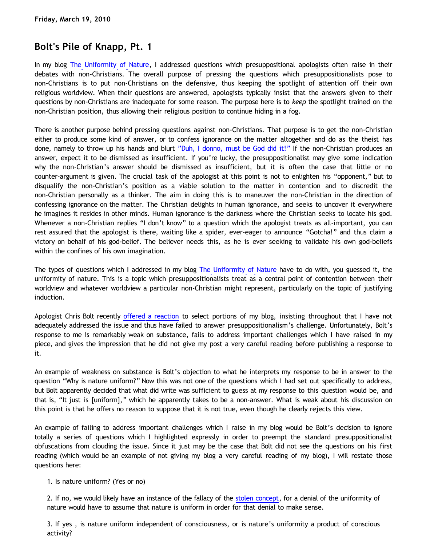# **Bolt's Pile of Knapp, Pt. 1**

In my blog [The Uniformity of Nature,](http://bahnsenburner.blogspot.com/2010/02/uniformity-of-nature.html) I addressed questions which presuppositional apologists often raise in their debates with non-Christians. The overall purpose of pressing the questions which presuppositionalists pose to non-Christians is to put non-Christians on the defensive, thus keeping the spotlight of attention off their own religious worldview. When their questions are answered, apologists typically insist that the answers given to their questions by non-Christians are inadequate for some reason. The purpose here is to *keep* the spotlight trained on the non-Christian position, thus allowing their religious position to continue hiding in a fog.

There is another purpose behind pressing questions against non-Christians. That purpose is to get the non-Christian either to produce some kind of answer, or to confess ignorance on the matter altogether and do as the theist has done, namely to throw up his hands and blurt ["Duh, I donno, must be God did it!"](http://www.katholon.com/duh15.wav) If the non-Christian produces an answer, expect it to be dismissed as insufficient. If you're lucky, the presuppositionalist may give some indication why the non-Christian's answer should be dismissed as insufficient, but it is often the case that little or no counter-argument is given. The crucial task of the apologist at this point is not to enlighten his "opponent," but to disqualify the non-Christian's position as a viable solution to the matter in contention and to discredit the non-Christian personally as a thinker. The aim in doing this is to maneuver the non-Christian in the direction of confessing ignorance on the matter. The Christian delights in human ignorance, and seeks to uncover it everywhere he imagines it resides in other minds. Human ignorance is the darkness where the Christian seeks to locate his god. Whenever a non-Christian replies "I don't know" to a question which the apologist treats as all-important, you can rest assured that the apologist is there, waiting like a spider, ever-eager to announce "Gotcha!" and thus claim a victory on behalf of his god-belief. The believer needs this, as he is ever seeking to validate his own god-beliefs within the confines of his own imagination.

The types of questions which I addressed in my blog [The Uniformity of Nature](http://bahnsenburner.blogspot.com/2010/02/uniformity-of-nature.html) have to do with, you guessed it, the uniformity of nature. This is a topic which presuppositionalists treat as a central point of contention between their worldview and whatever worldview a particular non-Christian might represent, particularly on the topic of justifying induction.

Apologist Chris Bolt recently [offered a reaction](http://www.choosinghats.com/?p=997) to select portions of my blog, insisting throughout that I have not adequately addressed the issue and thus have failed to answer presuppositionalism's challenge. Unfortunately, Bolt's response to me is remarkably weak on substance, fails to address important challenges which I have raised in my piece, and gives the impression that he did not give my post a very careful reading before publishing a response to it.

An example of weakness on substance is Bolt's objection to what he interprets my response to be in answer to the question "Why is nature uniform?" Now this was not one of the questions which I had set out specifically to address, but Bolt apparently decided that what did write was sufficient to guess at my response to this question would be, and that is, "It just is [uniform]," which he apparently takes to be a non-answer. What is weak about his discussion on this point is that he offers no reason to suppose that it is not true, even though he clearly rejects this view.

An example of failing to address important challenges which I raise in my blog would be Bolt's decision to ignore totally a series of questions which I highlighted expressly in order to preempt the standard presuppositionalist obfuscations from clouding the issue. Since it just may be the case that Bolt did not see the questions on his first reading (which would be an example of not giving my blog a very careful reading of my blog), I will restate those questions here:

#### 1. Is nature uniform? (Yes or no)

2. If no, we would likely have an instance of the fallacy of the [stolen concept](http://bahnsenburner.blogspot.com/2008/06/stolen-concepts-and-intellectual.html), for a denial of the uniformity of nature would have to assume that nature is uniform in order for that denial to make sense.

3. If yes , is nature uniform independent of consciousness, or is nature's uniformity a product of conscious activity?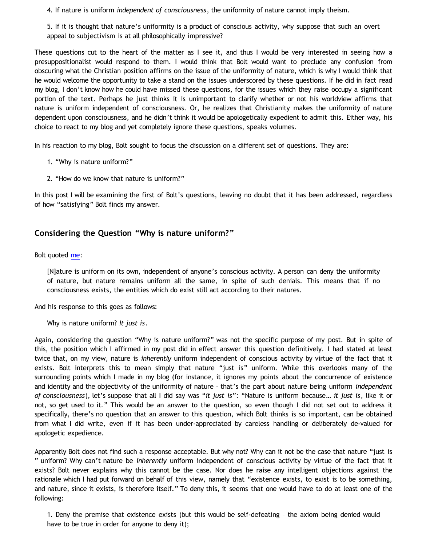4. If nature is uniform *independent of consciousness*, the uniformity of nature cannot imply theism.

5. If it is thought that nature's uniformity is a product of conscious activity, why suppose that such an overt appeal to subjectivism is at all philosophically impressive?

These questions cut to the heart of the matter as I see it, and thus I would be very interested in seeing how a presuppositionalist would respond to them. I would think that Bolt would want to preclude any confusion from obscuring what the Christian position affirms on the issue of the uniformity of nature, which is why I would think that he would welcome the opportunity to take a stand on the issues underscored by these questions. If he did in fact read my blog, I don't know how he could have missed these questions, for the issues which they raise occupy a significant portion of the text. Perhaps he just thinks it is unimportant to clarify whether or not his worldview affirms that nature is uniform independent of consciousness. Or, he realizes that Christianity makes the uniformity of nature dependent upon consciousness, and he didn't think it would be apologetically expedient to admit this. Either way, his choice to react to my blog and yet completely ignore these questions, speaks volumes.

In his reaction to my blog, Bolt sought to focus the discussion on a different set of questions. They are:

- 1. "Why is nature uniform?"
- 2. "How do we know that nature is uniform?"

In this post I will be examining the first of Bolt's questions, leaving no doubt that it has been addressed, regardless of how "satisfying" Bolt finds my answer.

## **Considering the Question "Why is nature uniform?"**

Bolt quoted [me](http://bahnsenburner.blogspot.com/2010/02/uniformity-of-nature.html):

[N]ature is uniform on its own, independent of anyone's conscious activity. A person can deny the uniformity of nature, but nature remains uniform all the same, in spite of such denials. This means that if no consciousness exists, the entities which do exist still act according to their natures.

And his response to this goes as follows:

Why is nature uniform? *It just is*.

Again, considering the question "Why is nature uniform?" was not the specific purpose of my post. But in spite of this, the position which I affirmed in my post did in effect answer this question definitively. I had stated at least twice that, on my view, nature is *inherently* uniform independent of conscious activity by virtue of the fact that it exists. Bolt interprets this to mean simply that nature "just is" uniform. While this overlooks many of the surrounding points which I made in my blog (for instance, it ignores my points about the concurrence of existence and identity and the objectivity of the uniformity of nature – that's the part about nature being uniform *independent of consciousness*), let's suppose that all I did say was "*it just is*": "Nature is uniform because… *it just is*, like it or not, so get used to it." This would be an answer to the question, so even though I did not set out to address it specifically, there's no question that an answer to this question, which Bolt thinks is so important, can be obtained from what I did write, even if it has been under-appreciated by careless handling or deliberately de-valued for apologetic expedience.

Apparently Bolt does not find such a response acceptable. But why not? Why can it not be the case that nature "just is " uniform? Why can't nature be *inherently* uniform independent of conscious activity by virtue of the fact that it exists? Bolt never explains why this cannot be the case. Nor does he raise any intelligent objections against the rationale which I had put forward on behalf of this view, namely that "existence exists, to exist is to be something, and nature, since it exists, is therefore itself." To deny this, it seems that one would have to do at least one of the following:

1. Deny the premise that existence exists (but this would be self-defeating – the axiom being denied would have to be true in order for anyone to deny it);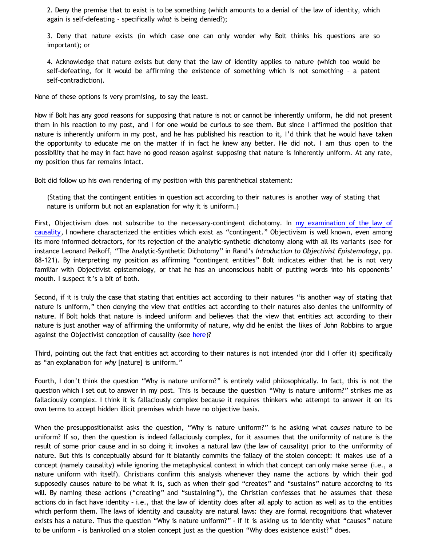2. Deny the premise that to exist is to be something (which amounts to a denial of the law of identity, which again is self-defeating – specifically *what* is being denied?);

3. Deny that nature exists (in which case one can only wonder why Bolt thinks his questions are so important); or

4. Acknowledge that nature exists but deny that the law of identity applies to nature (which too would be self-defeating, for it would be affirming the existence of something which is not something – a patent self-contradiction).

None of these options is very promising, to say the least.

Now if Bolt has any *good* reasons for supposing that nature is not or cannot be inherently uniform, he did not present them in his reaction to my post, and I for one would be curious to see them. But since I affirmed the position that nature is inherently uniform in my post, and he has published his reaction to it, I'd think that he would have taken the opportunity to educate me on the matter if in fact he knew any better. He did not. I am thus open to the possibility that he may in fact have no good reason against supposing that nature is inherently uniform. At any rate, my position thus far remains intact.

Bolt did follow up his own rendering of my position with this parenthetical statement:

(Stating that the contingent entities in question act according to their natures is another way of stating that nature is uniform but not an explanation for why it is uniform.)

First, Objectivism does not subscribe to the necessary-contingent dichotomy. In [my examination of the law of](http://bahnsenburner.blogspot.com/2010/03/causality-as-necessary-relationship.html) [causality](http://bahnsenburner.blogspot.com/2010/03/causality-as-necessary-relationship.html), I nowhere characterized the entities which exist as "contingent." Objectivism is well known, even among its more informed detractors, for its rejection of the analytic-synthetic dichotomy along with all its variants (see for instance Leonard Peikoff, "The Analytic-Synthetic Dichotomy" in Rand's *Introduction to Objectivist Epistemology*, pp. 88-121). By interpreting my position as affirming "contingent entities" Bolt indicates either that he is not very familiar with Objectivist epistemology, or that he has an unconscious habit of putting words into his opponents' mouth. I suspect it's a bit of both.

Second, if it is truly the case that stating that entities act according to their natures "is another way of stating that nature is uniform," then denying the view that entities act according to their natures also denies the uniformity of nature. If Bolt holds that nature is indeed uniform and believes that the view that entities act according to their nature is just another way of affirming the uniformity of nature, why did he enlist the likes of John Robbins to argue against the Objectivist conception of causality (see [here](http://bahnsenburner.blogspot.com/2010/03/john-robbins-and-foreclosure-of-his.html))?

Third, pointing out the fact that entities act according to their natures is not intended (nor did I offer it) specifically as "an explanation for *why* [nature] is uniform."

Fourth, I don't think the question "Why is nature uniform?" is entirely valid philosophically. In fact, this is not the question which I set out to answer in my post. This is because the question "Why is nature uniform?" strikes me as fallaciously complex. I think it is fallaciously complex because it requires thinkers who attempt to answer it on its own terms to accept hidden illicit premises which have no objective basis.

When the presuppositionalist asks the question, "Why is nature uniform?" is he asking what *causes* nature to be uniform? If so, then the question is indeed fallaciously complex, for it assumes that the uniformity of nature is the result of some prior cause and in so doing it invokes a natural law (the law of causality) prior to the uniformity of nature. But this is conceptually absurd for it blatantly commits the fallacy of the stolen concept: it makes use of a concept (namely causality) while ignoring the metaphysical context in which that concept can only make sense (i.e., a nature uniform with itself). Christians confirm this analysis whenever they name the actions by which their god supposedly causes nature to be what it is, such as when their god "creates" and "sustains" nature according to its will. By naming these actions ("creating" and "sustaining"), the Christian confesses that he assumes that these actions do in fact have identity – i.e., that the law of identity does after all apply to action as well as to the entities which perform them. The laws of identity and causality are natural laws: they are formal recognitions that whatever exists has a nature. Thus the question "Why is nature uniform?" - if it is asking us to identity what "causes" nature to be uniform - is bankrolled on a stolen concept just as the question "Why does existence exist?" does.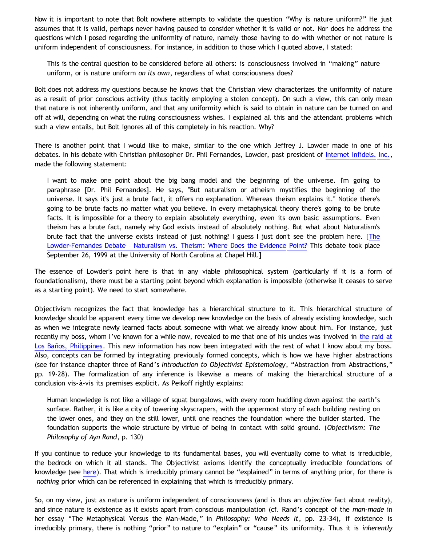Now it is important to note that Bolt nowhere attempts to validate the question "Why is nature uniform?" He just assumes that it is valid, perhaps never having paused to consider whether it is valid or not. Nor does he address the questions which I posed regarding the uniformity of nature, namely those having to do with whether or not nature is uniform independent of consciousness. For instance, in addition to those which I quoted above, I stated:

This is the central question to be considered before all others: is consciousness involved in "making" nature uniform, or is nature uniform *on its own*, regardless of what consciousness does?

Bolt does not address my questions because he knows that the Christian view characterizes the uniformity of nature as a result of prior conscious activity (thus tacitly employing a stolen concept). On such a view, this can only mean that nature is not inherently uniform, and that any uniformity which is said to obtain in nature can be turned on and off at will, depending on what the ruling consciousness wishes. I explained all this and the attendant problems which such a view entails, but Bolt ignores all of this completely in his reaction. Why?

There is another point that I would like to make, similar to the one which Jeffrey J. Lowder made in one of his debates. In his debate with Christian philosopher Dr. Phil Fernandes, Lowder, past president of [Internet Infidels. Inc.](http://www.infidels.org/infidels/), made the following statement:

I want to make one point about the big bang model and the beginning of the universe. I'm going to paraphrase [Dr. Phil Fernandes]. He says, "But naturalism or atheism mystifies the beginning of the universe. It says it's just a brute fact, it offers no explanation. Whereas theism explains it." Notice there's going to be brute facts no matter what you believe. In every metaphysical theory there's going to be brute facts. It is impossible for a theory to explain absolutely everything, even its own basic assumptions. Even theism has a brute fact, namely why God exists instead of absolutely nothing. But what about Naturalism's brute fact that the universe exists instead of just nothing? I guess I just don't see the problem here. [[The](http://www.infidels.org/infidels/products/video/lowder-fernandes.html) [Lowder-Fernandes Debate](http://www.infidels.org/infidels/products/video/lowder-fernandes.html) [– Naturalism vs. Theism: Where Does the Evidence Point?](http://www.infidels.org/infidels/products/video/lowder-fernandes.html) This debate took place September 26, 1999 at the University of North Carolina at Chapel Hill.]

The essence of Lowder's point here is that in any viable philosophical system (particularly if it is a form of foundationalism), there must be a starting point beyond which explanation is impossible (otherwise it ceases to serve as a starting point). We need to start somewhere.

Objectivism recognizes the fact that knowledge has a hierarchical structure to it. This hierarchical structure of knowledge should be apparent every time we develop new knowledge on the basis of already existing knowledge, such as when we integrate newly learned facts about someone with what we already know about him. For instance, just recently my boss, whom I've known for a while now, revealed to me that one of his uncles was involved in [the raid at](http://en.wikipedia.org/wiki/Raid_at_Los_Ba%C3%B1os) [Los Baños, Philippines](http://en.wikipedia.org/wiki/Raid_at_Los_Ba%C3%B1os). This new information has now been integrated with the rest of what I know about my boss. Also, concepts can be formed by integrating previously formed concepts, which is how we have higher abstractions (see for instance chapter three of Rand's *Introduction to Objectivist Epistemology*, "Abstraction from Abstractions," pp. 19-28). The formalization of any inference is likewise a means of making the hierarchical structure of a conclusion vis-à-vis its premises explicit. As Peikoff rightly explains:

Human knowledge is not like a village of squat bungalows, with every room huddling down against the earth's surface. Rather, it is like a city of towering skyscrapers, with the uppermost story of each building resting on the lower ones, and they on the still lower, until one reaches the foundation where the builder started. The foundation supports the whole structure by virtue of being in contact with solid ground. (*Objectivism: The Philosophy of Ayn Rand*, p. 130)

If you continue to reduce your knowledge to its fundamental bases, you will eventually come to what is irreducible, the bedrock on which it all stands. The Objectivist axioms identify the conceptually irreducible foundations of knowledge (see [here](http://www.katholon.com/RK2.htm)). That which is irreducibly primary cannot be "explained" in terms of anything prior, for there is *nothing* prior which can be referenced in explaining that which is irreducibly primary.

So, on my view, just as nature is uniform independent of consciousness (and is thus an *objective* fact about reality), and since nature is existence as it exists apart from conscious manipulation (cf. Rand's concept of the *man-made* in her essay "The Metaphysical Versus the Man-Made," in *Philosophy: Who Needs It*, pp. 23-34), if existence is irreducibly primary, there is nothing "prior" to nature to "explain" or "cause" its uniformity. Thus it is *inherently*